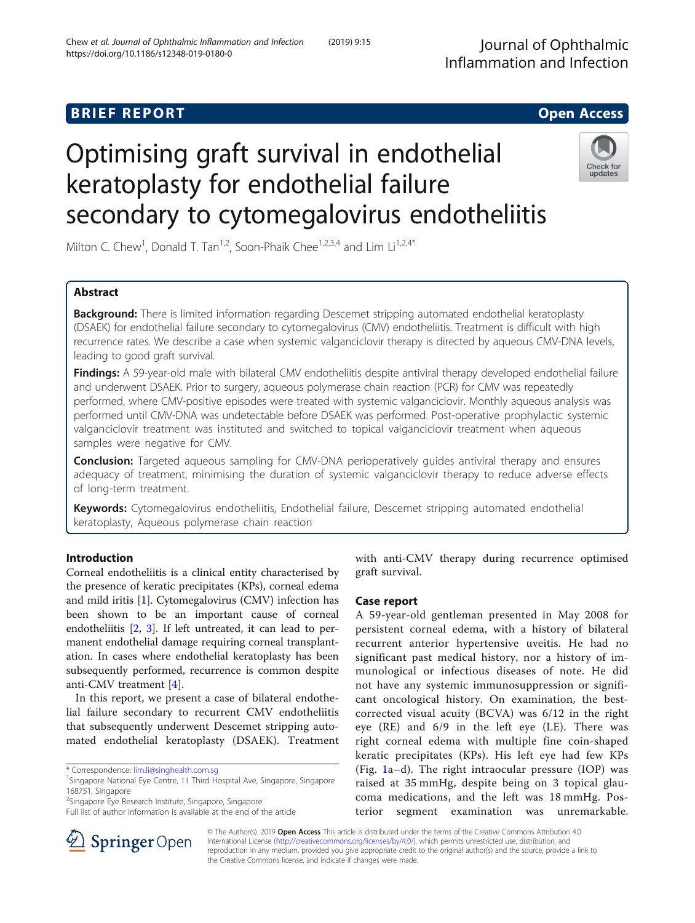# **BRIEF REPORT CONSUMING THE EXAMPLE ACCESS**

# Optimising graft survival in endothelial keratoplasty for endothelial failure secondary to cytomegalovirus endotheliitis



Milton C. Chew<sup>1</sup>, Donald T. Tan<sup>1,2</sup>, Soon-Phaik Chee<sup>1,2,3,4</sup> and Lim Li<sup>1,2,4\*</sup>

# Abstract

**Background:** There is limited information regarding Descemet stripping automated endothelial keratoplasty (DSAEK) for endothelial failure secondary to cytomegalovirus (CMV) endotheliitis. Treatment is difficult with high recurrence rates. We describe a case when systemic valganciclovir therapy is directed by aqueous CMV-DNA levels, leading to good graft survival.

Findings: A 59-year-old male with bilateral CMV endotheliitis despite antiviral therapy developed endothelial failure and underwent DSAEK. Prior to surgery, aqueous polymerase chain reaction (PCR) for CMV was repeatedly performed, where CMV-positive episodes were treated with systemic valganciclovir. Monthly aqueous analysis was performed until CMV-DNA was undetectable before DSAEK was performed. Post-operative prophylactic systemic valganciclovir treatment was instituted and switched to topical valganciclovir treatment when aqueous samples were negative for CMV.

**Conclusion:** Targeted agueous sampling for CMV-DNA perioperatively guides antiviral therapy and ensures adequacy of treatment, minimising the duration of systemic valganciclovir therapy to reduce adverse effects of long-term treatment.

Keywords: Cytomegalovirus endotheliitis, Endothelial failure, Descemet stripping automated endothelial keratoplasty, Aqueous polymerase chain reaction

# Introduction

Corneal endotheliitis is a clinical entity characterised by the presence of keratic precipitates (KPs), corneal edema and mild iritis [[1\]](#page-4-0). Cytomegalovirus (CMV) infection has been shown to be an important cause of corneal endotheliitis [\[2](#page-4-0), [3](#page-4-0)]. If left untreated, it can lead to permanent endothelial damage requiring corneal transplantation. In cases where endothelial keratoplasty has been subsequently performed, recurrence is common despite anti-CMV treatment [\[4](#page-4-0)].

In this report, we present a case of bilateral endothelial failure secondary to recurrent CMV endotheliitis that subsequently underwent Descemet stripping automated endothelial keratoplasty (DSAEK). Treatment



# Case report

A 59-year-old gentleman presented in May 2008 for persistent corneal edema, with a history of bilateral recurrent anterior hypertensive uveitis. He had no significant past medical history, nor a history of immunological or infectious diseases of note. He did not have any systemic immunosuppression or significant oncological history. On examination, the bestcorrected visual acuity (BCVA) was 6/12 in the right eye (RE) and 6/9 in the left eye (LE). There was right corneal edema with multiple fine coin-shaped keratic precipitates (KPs). His left eye had few KPs (Fig. [1a](#page-1-0)–d). The right intraocular pressure (IOP) was raised at 35 mmHg, despite being on 3 topical glaucoma medications, and the left was 18 mmHg. Posterior segment examination was unremarkable.



© The Author(s). 2019 Open Access This article is distributed under the terms of the Creative Commons Attribution 4.0 International License ([http://creativecommons.org/licenses/by/4.0/\)](http://creativecommons.org/licenses/by/4.0/), which permits unrestricted use, distribution, and reproduction in any medium, provided you give appropriate credit to the original author(s) and the source, provide a link to the Creative Commons license, and indicate if changes were made.

<sup>\*</sup> Correspondence: [lim.li@singhealth.com.sg](mailto:lim.li@singhealth.com.sg) <sup>1</sup>

<sup>&</sup>lt;sup>1</sup>Singapore National Eye Centre, 11 Third Hospital Ave, Singapore, Singapore 168751, Singapore

<sup>2</sup> Singapore Eye Research Institute, Singapore, Singapore

Full list of author information is available at the end of the article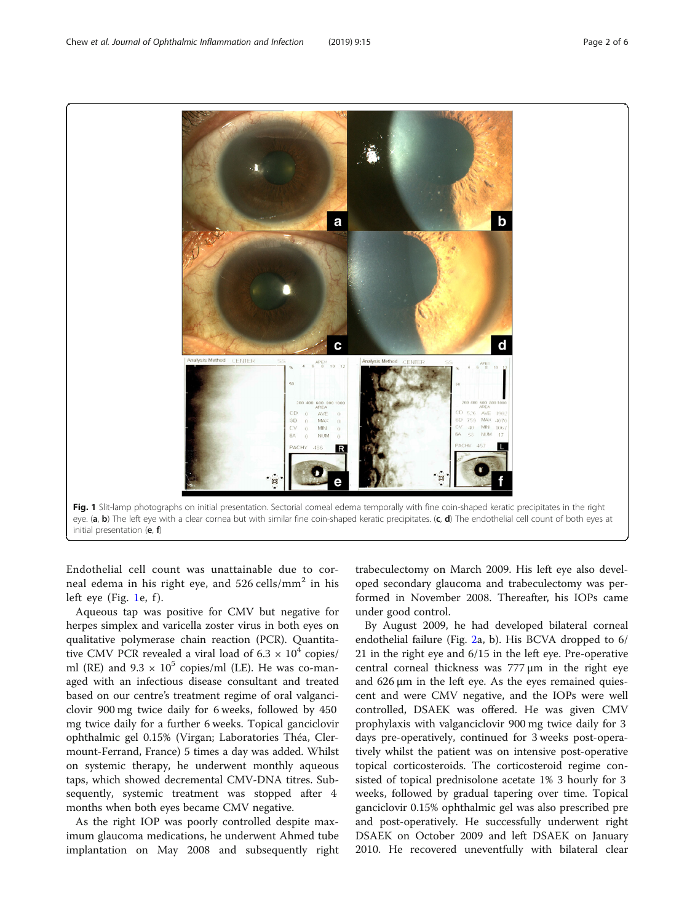Endothelial cell count was unattainable due to corneal edema in his right eye, and  $526$  cells/mm<sup>2</sup> in his left eye (Fig. 1e, f).

Aqueous tap was positive for CMV but negative for herpes simplex and varicella zoster virus in both eyes on qualitative polymerase chain reaction (PCR). Quantitative CMV PCR revealed a viral load of  $6.3 \times 10^4$  copies/ ml (RE) and  $9.3 \times 10^5$  copies/ml (LE). He was co-managed with an infectious disease consultant and treated based on our centre's treatment regime of oral valganciclovir 900 mg twice daily for 6 weeks, followed by 450 mg twice daily for a further 6 weeks. Topical ganciclovir ophthalmic gel 0.15% (Virgan; Laboratories Théa, Clermount-Ferrand, France) 5 times a day was added. Whilst on systemic therapy, he underwent monthly aqueous taps, which showed decremental CMV-DNA titres. Subsequently, systemic treatment was stopped after 4 months when both eyes became CMV negative.

As the right IOP was poorly controlled despite maximum glaucoma medications, he underwent Ahmed tube implantation on May 2008 and subsequently right trabeculectomy on March 2009. His left eye also developed secondary glaucoma and trabeculectomy was performed in November 2008. Thereafter, his IOPs came under good control.

By August 2009, he had developed bilateral corneal endothelial failure (Fig. [2](#page-2-0)a, b). His BCVA dropped to 6/ 21 in the right eye and 6/15 in the left eye. Pre-operative central corneal thickness was 777 μm in the right eye and 626 μm in the left eye. As the eyes remained quiescent and were CMV negative, and the IOPs were well controlled, DSAEK was offered. He was given CMV prophylaxis with valganciclovir 900 mg twice daily for 3 days pre-operatively, continued for 3 weeks post-operatively whilst the patient was on intensive post-operative topical corticosteroids. The corticosteroid regime consisted of topical prednisolone acetate 1% 3 hourly for 3 weeks, followed by gradual tapering over time. Topical ganciclovir 0.15% ophthalmic gel was also prescribed pre and post-operatively. He successfully underwent right DSAEK on October 2009 and left DSAEK on January 2010. He recovered uneventfully with bilateral clear

<span id="page-1-0"></span>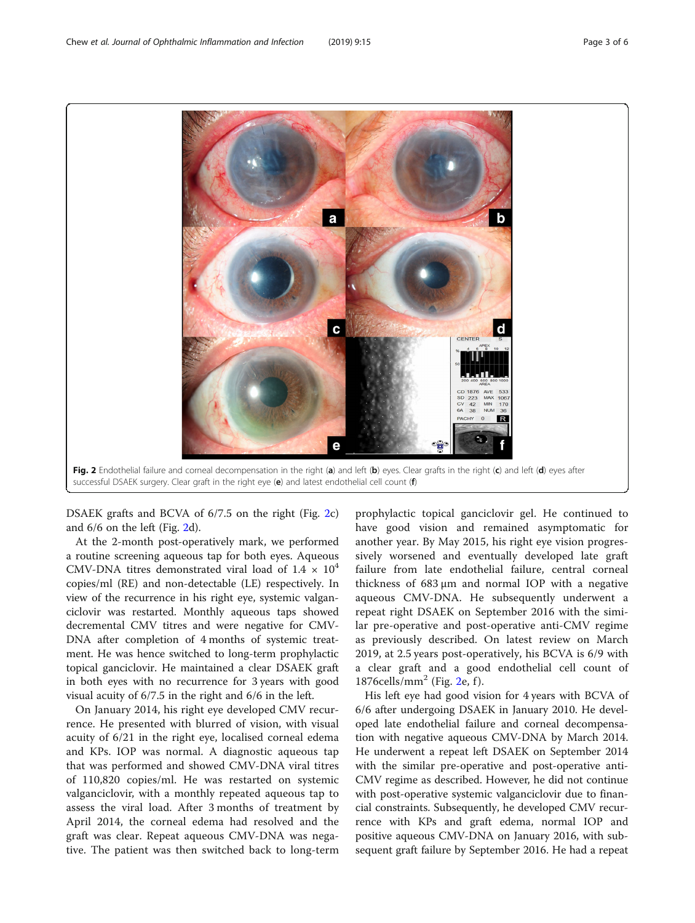<span id="page-2-0"></span>

DSAEK grafts and BCVA of 6/7.5 on the right (Fig. 2c) and 6/6 on the left (Fig. 2d).

At the 2-month post-operatively mark, we performed a routine screening aqueous tap for both eyes. Aqueous CMV-DNA titres demonstrated viral load of  $1.4 \times 10^4$ copies/ml (RE) and non-detectable (LE) respectively. In view of the recurrence in his right eye, systemic valganciclovir was restarted. Monthly aqueous taps showed decremental CMV titres and were negative for CMV-DNA after completion of 4 months of systemic treatment. He was hence switched to long-term prophylactic topical ganciclovir. He maintained a clear DSAEK graft in both eyes with no recurrence for 3 years with good visual acuity of 6/7.5 in the right and 6/6 in the left.

On January 2014, his right eye developed CMV recurrence. He presented with blurred of vision, with visual acuity of 6/21 in the right eye, localised corneal edema and KPs. IOP was normal. A diagnostic aqueous tap that was performed and showed CMV-DNA viral titres of 110,820 copies/ml. He was restarted on systemic valganciclovir, with a monthly repeated aqueous tap to assess the viral load. After 3 months of treatment by April 2014, the corneal edema had resolved and the graft was clear. Repeat aqueous CMV-DNA was negative. The patient was then switched back to long-term prophylactic topical ganciclovir gel. He continued to have good vision and remained asymptomatic for another year. By May 2015, his right eye vision progressively worsened and eventually developed late graft failure from late endothelial failure, central corneal thickness of 683 μm and normal IOP with a negative aqueous CMV-DNA. He subsequently underwent a repeat right DSAEK on September 2016 with the similar pre-operative and post-operative anti-CMV regime as previously described. On latest review on March 2019, at 2.5 years post-operatively, his BCVA is 6/9 with a clear graft and a good endothelial cell count of 1876cells/mm<sup>2</sup> (Fig. 2e, f).

His left eye had good vision for 4 years with BCVA of 6/6 after undergoing DSAEK in January 2010. He developed late endothelial failure and corneal decompensation with negative aqueous CMV-DNA by March 2014. He underwent a repeat left DSAEK on September 2014 with the similar pre-operative and post-operative anti-CMV regime as described. However, he did not continue with post-operative systemic valganciclovir due to financial constraints. Subsequently, he developed CMV recurrence with KPs and graft edema, normal IOP and positive aqueous CMV-DNA on January 2016, with subsequent graft failure by September 2016. He had a repeat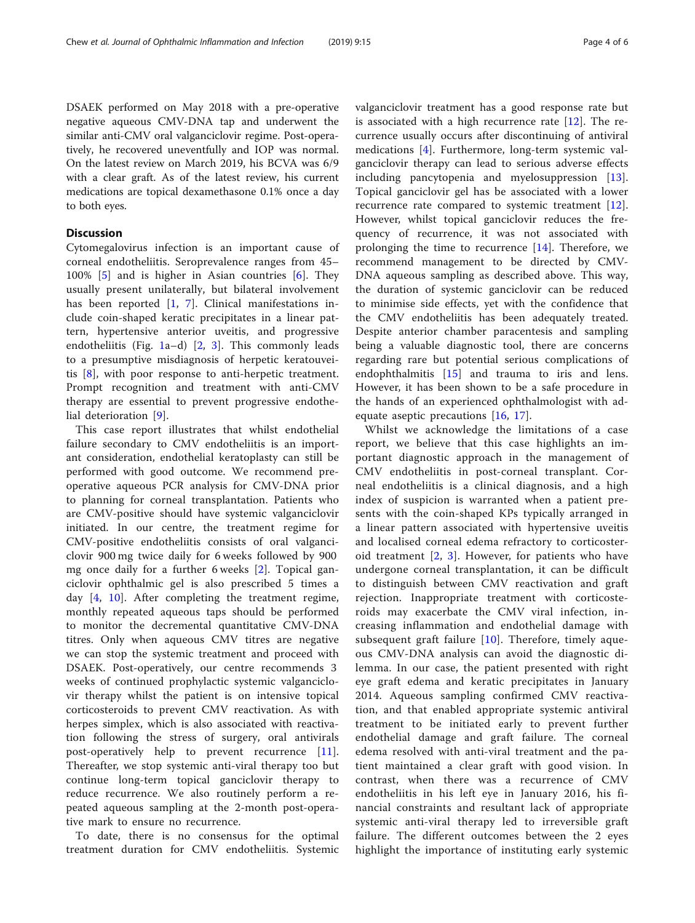DSAEK performed on May 2018 with a pre-operative negative aqueous CMV-DNA tap and underwent the similar anti-CMV oral valganciclovir regime. Post-operatively, he recovered uneventfully and IOP was normal. On the latest review on March 2019, his BCVA was 6/9 with a clear graft. As of the latest review, his current medications are topical dexamethasone 0.1% once a day to both eyes.

# **Discussion**

Cytomegalovirus infection is an important cause of corneal endotheliitis. Seroprevalence ranges from 45– 100% [\[5](#page-4-0)] and is higher in Asian countries [[6](#page-4-0)]. They usually present unilaterally, but bilateral involvement has been reported  $[1, 7]$  $[1, 7]$  $[1, 7]$  $[1, 7]$ . Clinical manifestations include coin-shaped keratic precipitates in a linear pattern, hypertensive anterior uveitis, and progressive endotheliitis (Fig. [1a](#page-1-0)–d)  $[2, 3]$  $[2, 3]$  $[2, 3]$  $[2, 3]$  $[2, 3]$ . This commonly leads to a presumptive misdiagnosis of herpetic keratouveitis [\[8](#page-4-0)], with poor response to anti-herpetic treatment. Prompt recognition and treatment with anti-CMV therapy are essential to prevent progressive endothelial deterioration [\[9](#page-4-0)].

This case report illustrates that whilst endothelial failure secondary to CMV endotheliitis is an important consideration, endothelial keratoplasty can still be performed with good outcome. We recommend preoperative aqueous PCR analysis for CMV-DNA prior to planning for corneal transplantation. Patients who are CMV-positive should have systemic valganciclovir initiated. In our centre, the treatment regime for CMV-positive endotheliitis consists of oral valganciclovir 900 mg twice daily for 6 weeks followed by 900 mg once daily for a further 6 weeks [\[2](#page-4-0)]. Topical ganciclovir ophthalmic gel is also prescribed 5 times a day [[4](#page-4-0), [10](#page-4-0)]. After completing the treatment regime, monthly repeated aqueous taps should be performed to monitor the decremental quantitative CMV-DNA titres. Only when aqueous CMV titres are negative we can stop the systemic treatment and proceed with DSAEK. Post-operatively, our centre recommends 3 weeks of continued prophylactic systemic valganciclovir therapy whilst the patient is on intensive topical corticosteroids to prevent CMV reactivation. As with herpes simplex, which is also associated with reactivation following the stress of surgery, oral antivirals post-operatively help to prevent recurrence [\[11](#page-4-0)]. Thereafter, we stop systemic anti-viral therapy too but continue long-term topical ganciclovir therapy to reduce recurrence. We also routinely perform a repeated aqueous sampling at the 2-month post-operative mark to ensure no recurrence.

To date, there is no consensus for the optimal treatment duration for CMV endotheliitis. Systemic valganciclovir treatment has a good response rate but is associated with a high recurrence rate  $[12]$  $[12]$ . The recurrence usually occurs after discontinuing of antiviral medications [[4\]](#page-4-0). Furthermore, long-term systemic valganciclovir therapy can lead to serious adverse effects including pancytopenia and myelosuppression [\[13](#page-4-0)]. Topical ganciclovir gel has be associated with a lower recurrence rate compared to systemic treatment [[12](#page-4-0)]. However, whilst topical ganciclovir reduces the frequency of recurrence, it was not associated with prolonging the time to recurrence [[14\]](#page-4-0). Therefore, we recommend management to be directed by CMV-DNA aqueous sampling as described above. This way, the duration of systemic ganciclovir can be reduced to minimise side effects, yet with the confidence that the CMV endotheliitis has been adequately treated. Despite anterior chamber paracentesis and sampling being a valuable diagnostic tool, there are concerns regarding rare but potential serious complications of endophthalmitis  $[15]$  $[15]$  and trauma to iris and lens. However, it has been shown to be a safe procedure in the hands of an experienced ophthalmologist with adequate aseptic precautions [\[16](#page-5-0), [17\]](#page-5-0).

Whilst we acknowledge the limitations of a case report, we believe that this case highlights an important diagnostic approach in the management of CMV endotheliitis in post-corneal transplant. Corneal endotheliitis is a clinical diagnosis, and a high index of suspicion is warranted when a patient presents with the coin-shaped KPs typically arranged in a linear pattern associated with hypertensive uveitis and localised corneal edema refractory to corticosteroid treatment [[2](#page-4-0), [3\]](#page-4-0). However, for patients who have undergone corneal transplantation, it can be difficult to distinguish between CMV reactivation and graft rejection. Inappropriate treatment with corticosteroids may exacerbate the CMV viral infection, increasing inflammation and endothelial damage with subsequent graft failure  $[10]$  $[10]$ . Therefore, timely aqueous CMV-DNA analysis can avoid the diagnostic dilemma. In our case, the patient presented with right eye graft edema and keratic precipitates in January 2014. Aqueous sampling confirmed CMV reactivation, and that enabled appropriate systemic antiviral treatment to be initiated early to prevent further endothelial damage and graft failure. The corneal edema resolved with anti-viral treatment and the patient maintained a clear graft with good vision. In contrast, when there was a recurrence of CMV endotheliitis in his left eye in January 2016, his financial constraints and resultant lack of appropriate systemic anti-viral therapy led to irreversible graft failure. The different outcomes between the 2 eyes highlight the importance of instituting early systemic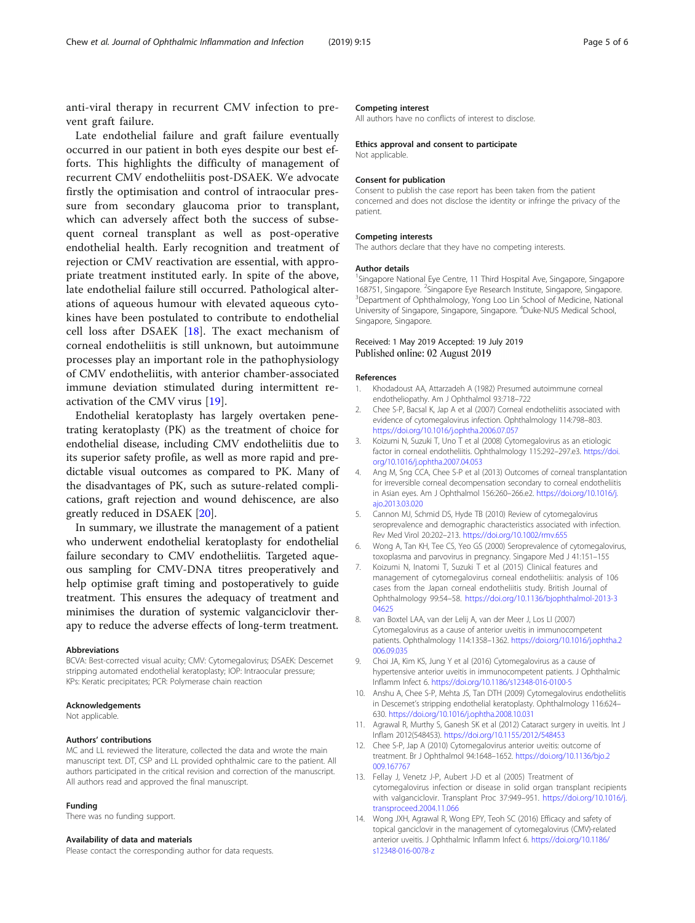<span id="page-4-0"></span>anti-viral therapy in recurrent CMV infection to prevent graft failure.

Late endothelial failure and graft failure eventually occurred in our patient in both eyes despite our best efforts. This highlights the difficulty of management of recurrent CMV endotheliitis post-DSAEK. We advocate firstly the optimisation and control of intraocular pressure from secondary glaucoma prior to transplant, which can adversely affect both the success of subsequent corneal transplant as well as post-operative endothelial health. Early recognition and treatment of rejection or CMV reactivation are essential, with appropriate treatment instituted early. In spite of the above, late endothelial failure still occurred. Pathological alterations of aqueous humour with elevated aqueous cytokines have been postulated to contribute to endothelial cell loss after DSAEK  $[18]$  $[18]$ . The exact mechanism of corneal endotheliitis is still unknown, but autoimmune processes play an important role in the pathophysiology of CMV endotheliitis, with anterior chamber-associated immune deviation stimulated during intermittent reactivation of the CMV virus [\[19](#page-5-0)].

Endothelial keratoplasty has largely overtaken penetrating keratoplasty (PK) as the treatment of choice for endothelial disease, including CMV endotheliitis due to its superior safety profile, as well as more rapid and predictable visual outcomes as compared to PK. Many of the disadvantages of PK, such as suture-related complications, graft rejection and wound dehiscence, are also greatly reduced in DSAEK [[20\]](#page-5-0).

In summary, we illustrate the management of a patient who underwent endothelial keratoplasty for endothelial failure secondary to CMV endotheliitis. Targeted aqueous sampling for CMV-DNA titres preoperatively and help optimise graft timing and postoperatively to guide treatment. This ensures the adequacy of treatment and minimises the duration of systemic valganciclovir therapy to reduce the adverse effects of long-term treatment.

#### Abbreviations

BCVA: Best-corrected visual acuity; CMV: Cytomegalovirus; DSAEK: Descemet stripping automated endothelial keratoplasty; IOP: Intraocular pressure; KPs: Keratic precipitates; PCR: Polymerase chain reaction

#### Acknowledgements

Not applicable.

#### Authors' contributions

MC and LL reviewed the literature, collected the data and wrote the main manuscript text. DT, CSP and LL provided ophthalmic care to the patient. All authors participated in the critical revision and correction of the manuscript. All authors read and approved the final manuscript.

#### Funding

There was no funding support.

#### Availability of data and materials

Please contact the corresponding author for data requests.

#### Competing interest

All authors have no conflicts of interest to disclose.

#### Ethics approval and consent to participate

Not applicable.

#### Consent for publication

Consent to publish the case report has been taken from the patient concerned and does not disclose the identity or infringe the privacy of the patient.

#### Competing interests

The authors declare that they have no competing interests.

#### Author details

<sup>1</sup>Singapore National Eye Centre, 11 Third Hospital Ave, Singapore, Singapore 168751, Singapore. <sup>2</sup>Singapore Eye Research Institute, Singapore, Singapore.<br><sup>3</sup>Department of Ophthalmelogy, Yong Log Lin School of Medicine, Nationa <sup>3</sup>Department of Ophthalmology, Yong Loo Lin School of Medicine, National University of Singapore, Singapore, Singapore. <sup>4</sup>Duke-NUS Medical School, Singapore, Singapore.

#### Received: 1 May 2019 Accepted: 19 July 2019 Published online: 02 August 2019

#### References

- 1. Khodadoust AA, Attarzadeh A (1982) Presumed autoimmune corneal endotheliopathy. Am J Ophthalmol 93:718–722
- 2. Chee S-P, Bacsal K, Jap A et al (2007) Corneal endotheliitis associated with evidence of cytomegalovirus infection. Ophthalmology 114:798–803. <https://doi.org/10.1016/j.ophtha.2006.07.057>
- 3. Koizumi N, Suzuki T, Uno T et al (2008) Cytomegalovirus as an etiologic factor in corneal endotheliitis. Ophthalmology 115:292–297.e3. [https://doi.](https://doi.org/10.1016/j.ophtha.2007.04.053) [org/10.1016/j.ophtha.2007.04.053](https://doi.org/10.1016/j.ophtha.2007.04.053)
- 4. Ang M, Sng CCA, Chee S-P et al (2013) Outcomes of corneal transplantation for irreversible corneal decompensation secondary to corneal endotheliitis in Asian eyes. Am J Ophthalmol 156:260–266.e2. [https://doi.org/10.1016/j.](https://doi.org/10.1016/j.ajo.2013.03.020) [ajo.2013.03.020](https://doi.org/10.1016/j.ajo.2013.03.020)
- 5. Cannon MJ, Schmid DS, Hyde TB (2010) Review of cytomegalovirus seroprevalence and demographic characteristics associated with infection. Rev Med Virol 20:202–213. <https://doi.org/10.1002/rmv.655>
- 6. Wong A, Tan KH, Tee CS, Yeo GS (2000) Seroprevalence of cytomegalovirus, toxoplasma and parvovirus in pregnancy. Singapore Med J 41:151–155
- 7. Koizumi N, Inatomi T, Suzuki T et al (2015) Clinical features and management of cytomegalovirus corneal endotheliitis: analysis of 106 cases from the Japan corneal endotheliitis study. British Journal of Ophthalmology 99:54–58. [https://doi.org/10.1136/bjophthalmol-2013-3](https://doi.org/10.1136/bjophthalmol-2013-304625) [04625](https://doi.org/10.1136/bjophthalmol-2013-304625)
- 8. van Boxtel LAA, van der Lelij A, van der Meer J, Los LI (2007) Cytomegalovirus as a cause of anterior uveitis in immunocompetent patients. Ophthalmology 114:1358–1362. [https://doi.org/10.1016/j.ophtha.2](https://doi.org/10.1016/j.ophtha.2006.09.035) [006.09.035](https://doi.org/10.1016/j.ophtha.2006.09.035)
- 9. Choi JA, Kim KS, Jung Y et al (2016) Cytomegalovirus as a cause of hypertensive anterior uveitis in immunocompetent patients. J Ophthalmic Inflamm Infect 6. <https://doi.org/10.1186/s12348-016-0100-5>
- 10. Anshu A, Chee S-P, Mehta JS, Tan DTH (2009) Cytomegalovirus endotheliitis in Descemet's stripping endothelial keratoplasty. Ophthalmology 116:624– 630. <https://doi.org/10.1016/j.ophtha.2008.10.031>
- 11. Agrawal R, Murthy S, Ganesh SK et al (2012) Cataract surgery in uveitis. Int J Inflam 2012(548453). <https://doi.org/10.1155/2012/548453>
- 12. Chee S-P, Jap A (2010) Cytomegalovirus anterior uveitis: outcome of treatment. Br J Ophthalmol 94:1648–1652. [https://doi.org/10.1136/bjo.2](https://doi.org/10.1136/bjo.2009.167767) [009.167767](https://doi.org/10.1136/bjo.2009.167767)
- 13. Fellay J, Venetz J-P, Aubert J-D et al (2005) Treatment of cytomegalovirus infection or disease in solid organ transplant recipients with valganciclovir. Transplant Proc 37:949–951. [https://doi.org/10.1016/j.](https://doi.org/10.1016/j.transproceed.2004.11.066) [transproceed.2004.11.066](https://doi.org/10.1016/j.transproceed.2004.11.066)
- 14. Wong JXH, Agrawal R, Wong EPY, Teoh SC (2016) Efficacy and safety of topical ganciclovir in the management of cytomegalovirus (CMV)-related anterior uveitis. J Ophthalmic Inflamm Infect 6. [https://doi.org/10.1186/](https://doi.org/10.1186/s12348-016-0078-z) [s12348-016-0078-z](https://doi.org/10.1186/s12348-016-0078-z)